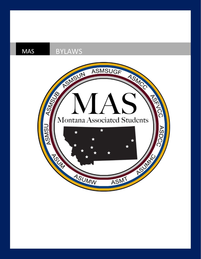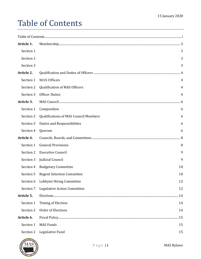# <span id="page-1-0"></span>Table of Contents

| Article 1. |                                              |     |
|------------|----------------------------------------------|-----|
| Section 1  |                                              | 3   |
| Section 2  |                                              | 3   |
| Section 3  |                                              | 3   |
| Article 2. |                                              |     |
| Section 1  | <b>MAS Officers</b>                          | 4   |
| Section 2  | Qualification of MAS Officers                | 4   |
| Section 3  | <b>Officer Duties</b>                        | 4   |
| Article 3. |                                              |     |
| Section 1  | Composition                                  | 6   |
| Section 2  | <b>Qualifications of MAS Council Members</b> | 6   |
| Section 3  | Duties and Responsibilities                  | 6   |
| Section 4  | Quorum                                       | 6   |
| Article 4. |                                              |     |
| Section 1  | <b>General Provisions</b>                    | 8   |
| Section 2  | <b>Executive Council</b>                     | 9   |
| Section 3  | Judicial Council                             | 9   |
| Section 4  | <b>Budgetary Committee</b>                   | 10  |
| Section 5  | <b>Regent Selection Committee</b>            | 10  |
| Section 6  | Lobbyist Hiring Committee                    | 12  |
| Section 7  | <b>Legislative Action Committee</b>          | 12  |
| Article 5. |                                              | .14 |
| Section 1  | <b>Timing of Election</b>                    | 14  |
| Section 2  | Order of Elections                           | 14  |
| Article 6. |                                              | .15 |
| Section 1  | <b>MAS Funds</b>                             | 15  |
| Section 2  | Legislative Fund                             | 15  |

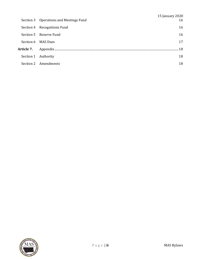|                   | Section 3 Operations and Meetings Fund | 15 January 2020<br>16 |
|-------------------|----------------------------------------|-----------------------|
|                   | Section 4 Recognitions Fund            | 16                    |
|                   | Section 5 Reserve Fund                 | 16                    |
|                   | Section 6 MAS Dues                     | 17                    |
| <b>Article 7.</b> |                                        | 18                    |
| Section 1         | Authority                              | 18                    |
|                   | Section 2 Amendments                   | 18                    |

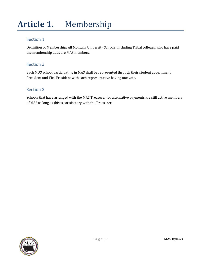# <span id="page-3-0"></span>**Article 1.** Membership

## <span id="page-3-1"></span>Section 1

Definition of Membership: All Montana University Schools, including Tribal colleges, who have paid the membership dues are MAS members.

## <span id="page-3-2"></span>Section 2

Each MUS school participating in MAS shall be represented through their student government President and Vice President with each representative having one vote.

# <span id="page-3-3"></span>Section 3

Schools that have arranged with the MAS Treasurer for alternative payments are still active members of MAS as long as this is satisfactory with the Treasurer.

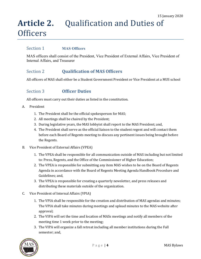# <span id="page-4-0"></span>**Article 2.** Qualification and Duties of **Officers**

#### <span id="page-4-1"></span>Section 1 **MAS Officers**

MAS officers shall consist of the President, Vice President of External Affairs, Vice President of Internal Affairs, and Treasurer

#### <span id="page-4-2"></span>Section 2 **Qualification of MAS Officers**

All officers of MAS shall either be a Student Government President or Vice President at a MUS school

#### <span id="page-4-3"></span>Section 3 **Officer Duties**

All officers must carry out their duties as listed in the constitution.

- A. President
	- 1. The President shall be the official spokesperson for MAS;
	- 2. All meetings shall be chaired by the President;
	- 3. During legislative years, the MAS lobbyist shall report to the MAS President; and,
	- 4. The President shall serve as the official liaison to the student regent and will contact them before each Board of Regents meeting to discuss any pertinent issues being brought before the Regents.
- B. Vice President of External Affairs (VPEA)
	- 1. The VPEA shall be responsible for all communication outside of MAS including but not limited to: Press, Regents, and the Office of the Commissioner of Higher Education;
	- 2. The VPEA is responsible for submitting any item MAS wishes to be on the Board of Regents Agenda in accordance with the Board of Regents Meeting Agenda Handbook Procedure and Guidelines; and,
	- 3. The VPEA is responsible for creating a quarterly newsletter, and press releases and distributing these materials outside of the organization.
- C. Vice President of Internal Affairs (VPIA)
	- 1. The VPIA shall be responsible for the creation and distribution of MAS agendas and minutes; The VPIA shall take minutes during meetings and upload minutes to the MAS website after approval;
	- 2. The VIPA will set the time and location of MASs meetings and notify all members of the meeting time 1 week prior to the meeting;
	- 3. The VIPA will organize a fall retreat including all member institutions during the Fall semester; and,

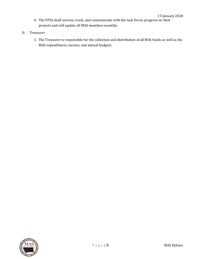- 4. The VPIA shall oversee, track, and communicate with the task forces progress on their projects and will update all MAS members monthly.
- D. Treasurer
	- 1. The Treasurer is responsible for the collection and distribution of all MAS funds as well as the MAS expenditures, income, and annual budgets.

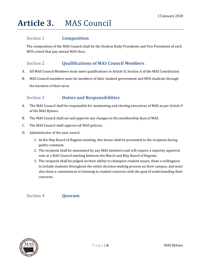# <span id="page-6-0"></span>**Article 3.** MAS Council

### <span id="page-6-1"></span>Section 1 **Composition**

The composition of the MAS Council shall be the Student Body Presidents and Vice Presidents of each MUS school that pay annual MAS dues.

## <span id="page-6-2"></span>Section 2 **Qualifications of MAS Council Members**

- A. All MAS Council Members must meet qualifications in Article II, Section A of the MAS Constitution.
- B. MAS Council members must be members of their student government and MUS students through the duration of their term.

## <span id="page-6-3"></span>Section 3 **Duties and Responsibilities**

- A. The MAS Council shall be responsible for nominating and electing executives of MAS as per Article V of the MAS Bylaws.
- B. The MAS Council shall set and approve any changes to the membership dues of MAS.
- C. The MAS Council shall approve all MAS policies.
- D. Administrator of the year award.
	- 1. At the May Board of Regents meeting, this honor shall be presented to the recipient during public comment.
	- 2. The recipient shall be nominated by any MAS members and will require a majority approval vote at a MAS Council meeting between the March and May Board of Regents.
	- 3. The recipient shall be judged on their ability to champion student issues, show a willingness to include students throughout the entire decision-making process on their campus, and must also show a commitment to listening to student concerns with the goal of understanding their concerns.

#### <span id="page-6-4"></span>Section 4 **Quorum**

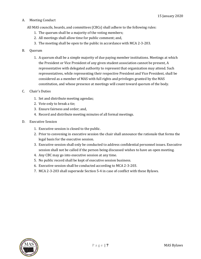#### A. Meeting Conduct

All MAS councils, boards, and committees (CBCs) shall adhere to the following rules:

- 1. The quorum shall be a majority of the voting members;
- 2. All meetings shall allow time for public comment; and,
- 3. The meeting shall be open to the public in accordance with MCA 2-3-203.

#### B. Quorum

- 1. A quorum shall be a simple majority of due paying member institutions. Meetings at which the President or Vice President of any given student association cannot be present, A representative with delegated authority to represent that organization may attend. Such representatives, while representing their respective President and Vice President, shall be considered as a member of MAS with full rights and privileges granted by the MAS constitution, and whose presence at meetings will count toward quorum of the body.
- C. Chair's Duties
	- 1. Set and distribute meeting agendas;
	- 2. Vote only to break a tie;
	- 3. Ensure fairness and order; and,
	- 4. Record and distribute meeting minutes of all formal meetings.
- D. Executive Session
	- 1. Executive session is closed to the public.
	- 2. Prior to convening in executive session the chair shall announce the rationale that forms the legal basis for the executive session.
	- 3. Executive session shall only be conducted to address confidential personnel issues. Executive session shall not be called if the person being discussed wishes to have an open meeting.
	- 4. Any CBC may go into executive session at any time.
	- 5. No public record shall be kept of executive session business.
	- 6. Executive session shall be conducted according to MCA 2-3-203.
	- 7. MCA 2-3-203 shall supersede Section 5-4 in case of conflict with these Bylaws.

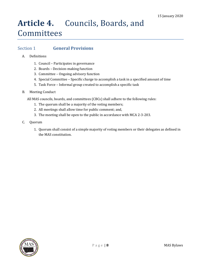# <span id="page-8-0"></span>**Article 4.** Councils, Boards, and Committees

### <span id="page-8-1"></span>Section 1 **General Provisions**

- A. Definitions
	- 1. Council Participates in governance
	- 2. Boards Decision-making function
	- 3. Committee Ongoing advisory function
	- 4. Special Committee Specific charge to accomplish a task in a specified amount of time
	- 5. Task Force Informal group created to accomplish a specific task
- B. Meeting Conduct

All MAS councils, boards, and committees (CBCs) shall adhere to the following rules:

- 1. The quorum shall be a majority of the voting members;
- 2. All meetings shall allow time for public comment; and,
- 3. The meeting shall be open to the public in accordance with MCA 2-3-203.
- C. Quorum
	- 1. Quorum shall consist of a simple majority of voting members or their delegates as defined in the MAS constitution.

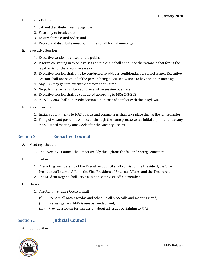- D. Chair's Duties
	- 1. Set and distribute meeting agendas;
	- 2. Vote only to break a tie;
	- 3. Ensure fairness and order; and,
	- 4. Record and distribute meeting minutes of all formal meetings.
- E. Executive Session
	- 1. Executive session is closed to the public.
	- 2. Prior to convening in executive session the chair shall announce the rationale that forms the legal basis for the executive session.
	- 3. Executive session shall only be conducted to address confidential personnel issues. Executive session shall not be called if the person being discussed wishes to have an open meeting.
	- 4. Any CBC may go into executive session at any time.
	- 5. No public record shall be kept of executive session business.
	- 6. Executive session shall be conducted according to MCA 2-3-203.
	- 7. MCA 2-3-203 shall supersede Section 5-4 in case of conflict with these Bylaws.
- F. Appointments
	- 1. Initial appointments to MAS boards and committees shall take place during the fall semester.
	- 2. Filing of vacant positions will occur through the same process as an initial appointment at any MAS Council meeting one week after the vacancy occurs.

#### <span id="page-9-0"></span>Section 2 **Executive Council**

- A. Meeting schedule
	- 1. The Executive Council shall meet weekly throughout the fall and spring semesters.
- B. Composition
	- 1. The voting membership of the Executive Council shall consist of the President, the Vice President of Internal Affairs, the Vice President of External Affairs, and the Treasurer.
	- 2. The Student Regent shall serve as a non-voting, ex-officio member.
- C. Duties
	- 1. The Administrative Council shall:
		- (i) Prepare all MAS agendas and schedule all MAS calls and meetings; and,
		- (ii) Discuss general MAS issues as needed; and,
		- (iii) Provide a forum for discussion about all issues pertaining to MAS.

#### <span id="page-9-1"></span>Section 3 **Judicial Council**

A. Composition

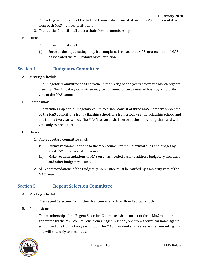- 1. The voting membership of the Judicial Council shall consist of one non-MAS representative from each MAS member institution.
- 2. The Judicial Council shall elect a chair from its membership.
- B. Duties
	- 1. The Judicial Council shall:
		- (i) Serve as the adjudicating body if a complaint is raised that MAS, or a member of MAS has violated the MAS bylaws or constitution.

## <span id="page-10-0"></span>Section 4 **Budgetary Committee**

- A. Meeting Schedule
	- 1. The Budgetary Committee shall convene in the spring of odd years before the March regents meeting. The Budgetary Committee may be convened on an as needed basis by a majority vote of the MAS council.
- B. Composition
	- 1. The membership of the Budgetary committee shall consist of three MAS members appointed by the MAS council; one from a flagship school, one from a four year non-flagship school, and one from a two year school. The MAS Treasurer shall serve as the non-voting chair and will vote only to break ties.
- C. Duties
	- 1. The Budgetary Committee shall:
		- (i) Submit recommendations to the MAS council for MAS biannual dues and budget by April 15th of the year it convenes.
		- (ii) Make recommendations to MAS on an as needed basis to address budgetary shortfalls and other budgetary issues.
	- 2. All recommendations of the Budgetary Committee must be ratified by a majority vote of the MAS council.

## <span id="page-10-1"></span>Section 5 **Regent Selection Committee**

- A. Meeting Schedule
	- 1. The Regent Selection Committee shall convene no later than February 15th.
- B. Composition
	- 1. The membership of the Regent Selection Committee shall consist of three MAS members appointed by the MAS council; one from a flagship school, one from a four year non-flagship school, and one from a two year school. The MAS President shall serve as the non-voting chair and will vote only to break ties.

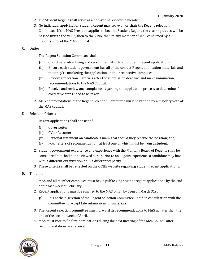- 2. The Student Regent shall serve as a non-voting, ex-officio member.
- 3. No individual applying for Student Regent may serve on or chair the Regent Selection Committee. If the MAS President applies to become Student Regent, the chairing duties will be passed first to the VPEA, then to the VPIA, then to any member of MAS confirmed by a majority vote of the MAS Council.

#### C. Duties

- 1. The Regent Selection Committee shall:
	- (i) Coordinate advertising and recruitment efforts for Student Regent applications.
	- (ii) Ensure each student government has all of the correct Regent application materials and that they're marketing the application on their respective campuses.
	- (iii) Review application materials after the submission deadline and make nomination recommendations to the MAS Council.
	- (iv) Receive and review any complaints regarding the application process to determine if corrective steps need to be taken.
- 2. All recommendations of the Regent Selection Committee must be ratified by a majority vote of the MAS council.
- D. Selection Criteria
	- 1. Regent applications shall consist of:
		- (i) Cover Letter;
		- (ii) CV or Resume;
		- (iii) Personal statement on candidate's main goal should they receive the position; and,
		- (iv) Four letters of recommendation, at least one of which must be from a student.
	- 2. Student government experience and experience with the Montana Board of Regents shall be considered but shall not be viewed as superior to analogous experience a candidate may have with a different organization or in a different capacity.
	- 3. These criteria shall be reflected on the OCHE website regarding student regent applications.
- E. Timeline
	- 1. MAS and all member campuses must begin publicizing student regent applications by the end of the last week of February.
	- 2. Regent applications must be emailed to the MAS Gmail by 5pm on March 31st.
		- (i) It is at the discretion of the Regent Selection Committee Chair, in consultation with the committee, to accept late submissions or materials.
	- 3. The Regent selection committee must forward its recommendations to MAS no later than the end of the second week of April.
	- 4. MAS must vote to finalize nominations during the next meeting of the MAS Council after recommendations are received.

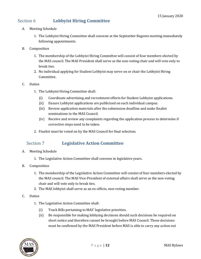## <span id="page-12-0"></span>Section 6 **Lobbyist Hiring Committee**

- A. Meeting Schedule
	- 1. The Lobbyist Hiring Committee shall convene at the September Regents meeting immediately following appointments.
- B. Composition
	- 1. The membership of the Lobbyist Hiring Committee will consist of four members elected by the MAS council. The MAS President shall serve as the non-voting chair and will vote only to break ties.
	- 2. No individual applying for Student Lobbyist may serve on or chair the Lobbyist Hiring Committee.

#### C. Duties

- 1. The Lobbyist Hiring Committee shall:
	- (i) Coordinate advertising and recruitment efforts for Student Lobbyist applications.
	- (ii) Ensure Lobbyist applications are publicized on each individual campus.
	- (iii) Review application materials after the submission deadline and make finalist nominations to the MAS Council.
	- (iv) Receive and review any complaints regarding the application process to determine if corrective steps need to be taken.
- 2. Finalist must be voted on by the MAS Council for final selection.

## <span id="page-12-1"></span>Section 7 **Legislative Action Committee**

- A. Meeting Schedule
	- 1. The Legislative Action Committee shall convene in legislative years.
- B. Composition
	- 1. The membership of the Legislative Action Committee will consist of four members elected by the MAS council. The MAS Vice-President of external affairs shall serve as the non-voting chair and will vote only to break ties.
	- 2. The MAS lobbyist shall serve as an ex-officio, non-voting member.
- C. Duties
	- 1. The Legislative Action Committee shall:
		- (i) Track Bills pertaining to MAS' legislative priorities.
		- (ii) Be responsible for making lobbying decisions should such decisions be required on short notice and therefore cannot be brought before MAS Council. These decisions must be confirmed by the MAS President before MAS is able to carry any action out

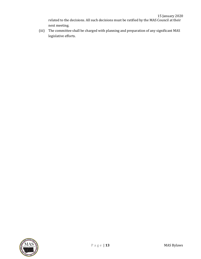related to the decisions. All such decisions must be ratified by the MAS Council at their next meeting.

(iii) The committee shall be charged with planning and preparation of any significant MAS legislative efforts.

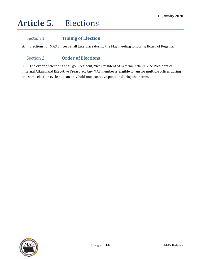# <span id="page-14-0"></span>**Article 5.** Elections

# <span id="page-14-1"></span>Section 1 **Timing of Election**

<span id="page-14-2"></span>A. Elections for MAS officers shall take place during the May meeting following Board of Regents.

# Section 2 **Order of Elections**

A. The order of elections shall go: President, Vice President of External Affairs, Vice President of Internal Affairs, and Executive Treasurer. Any MAS member is eligible to run for multiple offices during the same election cycle but can only hold one executive position during their term.

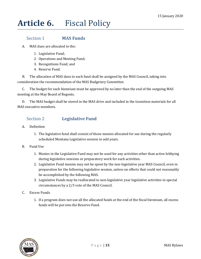# <span id="page-15-0"></span>**Article 6.** Fiscal Policy

#### <span id="page-15-1"></span>Section 1 **MAS Funds**

A. MAS dues are allocated to the:

- 1. Legislative Fund;
- 2. Operations and Meeting Fund;
- 3. Recognitions Fund; and
- 4. Reserve Fund.

B. The allocation of MAS dues to each fund shall be assigned by the MAS Council, taking into consideration the recommendation of the MAS Budgetary Committee.

C. The budget for each biennium must be approved by no later than the end of the outgoing MAS meeting at the May Board of Regents.

D. The MAS budget shall be stored in the MAS drive and included in the transition materials for all MAS executive members.

#### <span id="page-15-2"></span>Section 2 **Legislative Fund**

- A. Definition
	- 1. The legislative fund shall consist of those monies allocated for use during the regularly scheduled Montana Legislative session in odd years.
- B. Fund Use
	- 1. Monies in the Legislative Fund may not be used for any activities other than active lobbying during legislative sessions or preparatory work for such activities.
	- 2. Legislative Fund monies may not be spent by the non-legislative year MAS Council, even in preparation for the following legislative session, unless on efforts that could not reasonably be accomplished by the following MAS.
	- 3. Legislative Funds may be reallocated to non-legislative year legislative activities in special circumstances by a 2/3 vote of the MAS Council.
- C. Excess Funds
	- 1. If a program does not use all the allocated funds at the end of the fiscal biennium, all excess funds will be put into the Reserve Fund.

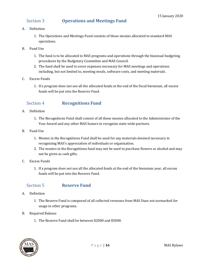#### <span id="page-16-0"></span>Section 3 **Operations and Meetings Fund**

#### A. Definition

- 1. The Operations and Meetings Fund consists of those monies allocated to standard MAS operations.
- B. Fund Use
	- 1. The fund is to be allocated to MAS programs and operations through the biannual budgeting procedures by the Budgetary Committee and MAS Council.
	- 2. The fund shall be used to cover expenses necessary for MAS meetings and operations including, but not limited to, meeting meals, software costs, and meeting materials.
- C. Excess Funds
	- 1. If a program does not use all the allocated funds at the end of the fiscal biennium, all excess funds will be put into the Reserve Fund.

### <span id="page-16-1"></span>Section 4 **Recognitions Fund**

- A. Definition
	- 1. The Recognitions Fund shall consist of all those monies allocated to the Administrator of the Year Award and any other MAS honors to recognize state-wide partners.
- B. Fund Use
	- 1. Monies in the Recognitions Fund shall be used for any materials deemed necessary in recognizing MAS's appreciation of individuals or organization.
	- 2. The monies in the Recognitions fund may not be used to purchase flowers or alcohol and may not be given as cash gifts.
- C. Excess Funds
	- 1. If a program does not use all the allocated funds at the end of the biennium year, all excess funds will be put into the Reserve Fund.

#### <span id="page-16-2"></span>Section 5 **Reserve Fund**

- A. Definition
	- 1. The Reserve Fund is composed of all collected revenues from MAS Dues not earmarked for usage in other programs.
- B. Required Balance
	- 1. The Reserve Fund shall be between \$2000 and \$5000.

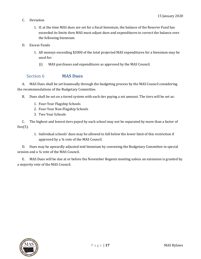- C. Deviation
	- 1. If, at the time MAS dues are set for a fiscal biennium, the balance of the Reserve Fund has exceeded its limits then MAS must adjust dues and expenditures to correct the balance over the following biennium.
- D. Excess Funds
	- 1. All moneys exceeding \$2000 of the total projected MAS expenditures for a biennium may be used for:
		- (i) MAS purchases and expenditures as approved by the MAS Council.

#### <span id="page-17-0"></span>Section 6 **MAS Dues**

A. MAS Dues shall be set biannually through the budgeting process by the MAS Council considering the recommendations of the Budgetary Committee.

- B. Dues shall be set on a tiered system with each tier paying a set amount. The tiers will be set as:
	- 1. Four-Year Flagship Schools
	- 2. Four-Year Non-Flagship Schools
	- 3. Two Year Schools

C. The highest and lowest tiers payed by each school may not be separated by more than a factor of five $(5)$ .

1. Individual schools' dues may be allowed to fall below the lower limit of this restriction if approved by a ¾ vote of the MAS Council.

D. Dues may be upwardly adjusted mid biennium by convening the Budgetary Committee in special session and a 34 vote of the MAS Council.

E. MAS Dues will be due at or before the November Regents meeting unless an extension is granted by a majority vote of the MAS Council.